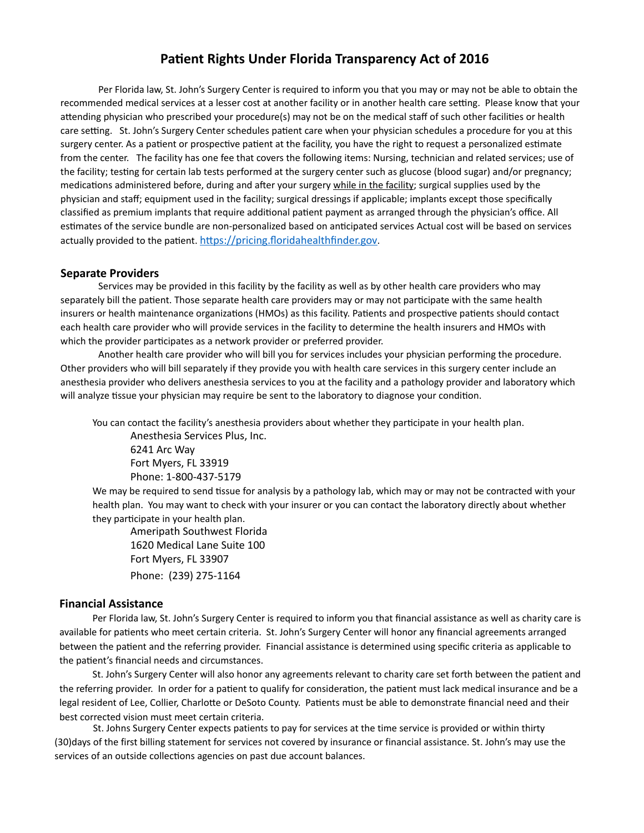## **Patient Rights Under Florida Transparency Act of 2016**

Per Florida law, St. John's Surgery Center is required to inform you that you may or may not be able to obtain the recommended medical services at a lesser cost at another facility or in another health care setting. Please know that your attending physician who prescribed your procedure(s) may not be on the medical staff of such other facilities or health care setting. St. John's Surgery Center schedules patient care when your physician schedules a procedure for you at this surgery center. As a patient or prospective patient at the facility, you have the right to request a personalized estimate from the center. The facility has one fee that covers the following items: Nursing, technician and related services; use of the facility; testing for certain lab tests performed at the surgery center such as glucose (blood sugar) and/or pregnancy; medications administered before, during and after your surgery while in the facility; surgical supplies used by the physician and staff; equipment used in the facility; surgical dressings if applicable; implants except those specifically classified as premium implants that require additional patient payment as arranged through the physician's office. All estimates of the service bundle are non-personalized based on anticipated services Actual cost will be based on services actually provided to the patient. [https://pricing.floridahealthfinder.gov.](https://pricing.floridahealthfinder.gov)

## **Separate Providers**

Services may be provided in this facility by the facility as well as by other health care providers who may separately bill the patient. Those separate health care providers may or may not participate with the same health insurers or health maintenance organizations (HMOs) as this facility. Patients and prospective patients should contact each health care provider who will provide services in the facility to determine the health insurers and HMOs with which the provider participates as a network provider or preferred provider.

Another health care provider who will bill you for services includes your physician performing the procedure. Other providers who will bill separately if they provide you with health care services in this surgery center include an anesthesia provider who delivers anesthesia services to you at the facility and a pathology provider and laboratory which will analyze tissue your physician may require be sent to the laboratory to diagnose your condition.

You can contact the facility's anesthesia providers about whether they participate in your health plan. Anesthesia Services Plus, Inc.

6241 Arc Way Fort Myers, FL 33919 Phone: 1-800-437-5179

We may be required to send tissue for analysis by a pathology lab, which may or may not be contracted with your health plan. You may want to check with your insurer or you can contact the laboratory directly about whether they participate in your health plan.

Ameripath Southwest Florida 1620 Medical Lane Suite 100 Fort Myers, FL 33907 Phone: (239) 275-1164

## **Financial Assistance**

Per Florida law, St. John's Surgery Center is required to inform you that financial assistance as well as charity care is available for patients who meet certain criteria. St. John's Surgery Center will honor any financial agreements arranged between the patient and the referring provider. Financial assistance is determined using specific criteria as applicable to the patient's financial needs and circumstances.

St. John's Surgery Center will also honor any agreements relevant to charity care set forth between the patient and the referring provider. In order for a patient to qualify for consideration, the patient must lack medical insurance and be a legal resident of Lee, Collier, Charlotte or DeSoto County. Patients must be able to demonstrate financial need and their best corrected vision must meet certain criteria.

St. Johns Surgery Center expects patients to pay for services at the time service is provided or within thirty (30)days of the first billing statement for services not covered by insurance or financial assistance. St. John's may use the services of an outside collections agencies on past due account balances.